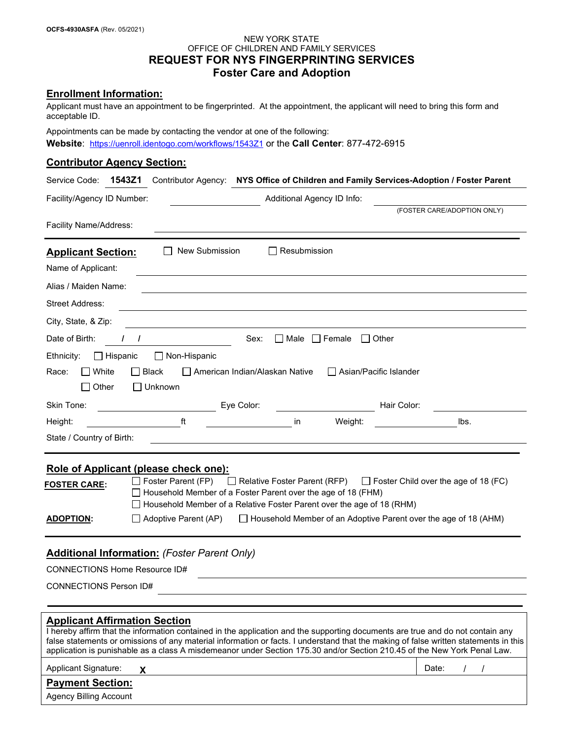### NEW YORK STATE OFFICE OF CHILDREN AND FAMILY SERVICES **REQUEST FOR NYS FINGERPRINTING SERVICES Foster Care and Adoption**

## **Enrollment Information:**

Applicant must have an appointment to be fingerprinted. At the appointment, the applicant will need to bring this form and acceptable ID.

Appointments can be made by contacting the vendor at one of the following: **Website**: <https://uenroll.identogo.com/workflows/1543Z1> or the **Call Center**: 877-472-6915

#### **Contributor Agency Section:**

| Service Code:                                                                                                           | 1543Z1                                                                                                                                |                                  |                          | Contributor Agency: NYS Office of Children and Family Services-Adoption / Foster Parent                                              |
|-------------------------------------------------------------------------------------------------------------------------|---------------------------------------------------------------------------------------------------------------------------------------|----------------------------------|--------------------------|--------------------------------------------------------------------------------------------------------------------------------------|
| Additional Agency ID Info:<br>Facility/Agency ID Number:                                                                |                                                                                                                                       |                                  |                          |                                                                                                                                      |
|                                                                                                                         |                                                                                                                                       |                                  |                          | (FOSTER CARE/ADOPTION ONLY)                                                                                                          |
| Facility Name/Address:                                                                                                  |                                                                                                                                       |                                  |                          |                                                                                                                                      |
| <b>Applicant Section:</b>                                                                                               | New Submission                                                                                                                        | $\Box$ Resubmission              |                          |                                                                                                                                      |
| Name of Applicant:                                                                                                      |                                                                                                                                       |                                  |                          |                                                                                                                                      |
| Alias / Maiden Name:                                                                                                    |                                                                                                                                       |                                  |                          |                                                                                                                                      |
| <b>Street Address:</b>                                                                                                  |                                                                                                                                       |                                  |                          |                                                                                                                                      |
| City, State, & Zip:                                                                                                     |                                                                                                                                       |                                  |                          |                                                                                                                                      |
| Date of Birth:                                                                                                          | $\prime$                                                                                                                              | Sex:<br>■ Male ■ Female          | ∣ I Other                |                                                                                                                                      |
| $\Box$ Hispanic<br>Ethnicity:                                                                                           | $\Box$ Non-Hispanic                                                                                                                   |                                  |                          |                                                                                                                                      |
| $\Box$ White<br>Race:                                                                                                   | ∣ I Black                                                                                                                             | □ American Indian/Alaskan Native | □ Asian/Pacific Islander |                                                                                                                                      |
| $\Box$ Other                                                                                                            | $\Box$ Unknown                                                                                                                        |                                  |                          |                                                                                                                                      |
| Skin Tone:                                                                                                              |                                                                                                                                       | Eye Color:                       | Hair Color:              |                                                                                                                                      |
| Height:                                                                                                                 | ft.                                                                                                                                   | in                               | Weight:                  | lbs.                                                                                                                                 |
| State / Country of Birth:                                                                                               |                                                                                                                                       |                                  |                          |                                                                                                                                      |
|                                                                                                                         | Role of Applicant (please check one):                                                                                                 |                                  |                          |                                                                                                                                      |
| Foster Parent (FP) □ Relative Foster Parent (RFP)<br>$\Box$ Foster Child over the age of 18 (FC)<br><u>FOSTER CARE:</u> |                                                                                                                                       |                                  |                          |                                                                                                                                      |
|                                                                                                                         | Household Member of a Foster Parent over the age of 18 (FHM)<br>Household Member of a Relative Foster Parent over the age of 18 (RHM) |                                  |                          |                                                                                                                                      |
| <b>ADOPTION:</b>                                                                                                        | ∐ Adoptive Parent (AP)<br>$\Box$ Household Member of an Adoptive Parent over the age of 18 (AHM)                                      |                                  |                          |                                                                                                                                      |
|                                                                                                                         |                                                                                                                                       |                                  |                          |                                                                                                                                      |
|                                                                                                                         | <b>Additional Information: (Foster Parent Only)</b>                                                                                   |                                  |                          |                                                                                                                                      |
| <b>CONNECTIONS Home Resource ID#</b>                                                                                    |                                                                                                                                       |                                  |                          |                                                                                                                                      |
| <b>CONNECTIONS Person ID#</b>                                                                                           |                                                                                                                                       |                                  |                          |                                                                                                                                      |
|                                                                                                                         |                                                                                                                                       |                                  |                          |                                                                                                                                      |
| <b>Applicant Affirmation Section</b>                                                                                    |                                                                                                                                       |                                  |                          |                                                                                                                                      |
|                                                                                                                         | I hereby affirm that the information contained in the application and the supporting documents are true and do not contain any        |                                  |                          | false statements or omissions of any material information or facts. I understand that the making of false written statements in this |
|                                                                                                                         | application is punishable as a class A misdemeanor under Section 175.30 and/or Section 210.45 of the New York Penal Law.              |                                  |                          |                                                                                                                                      |
| <b>Applicant Signature:</b>                                                                                             | X                                                                                                                                     |                                  |                          | Date:                                                                                                                                |
| <b>Payment Section:</b>                                                                                                 |                                                                                                                                       |                                  |                          |                                                                                                                                      |
| <b>Agency Billing Account</b>                                                                                           |                                                                                                                                       |                                  |                          |                                                                                                                                      |